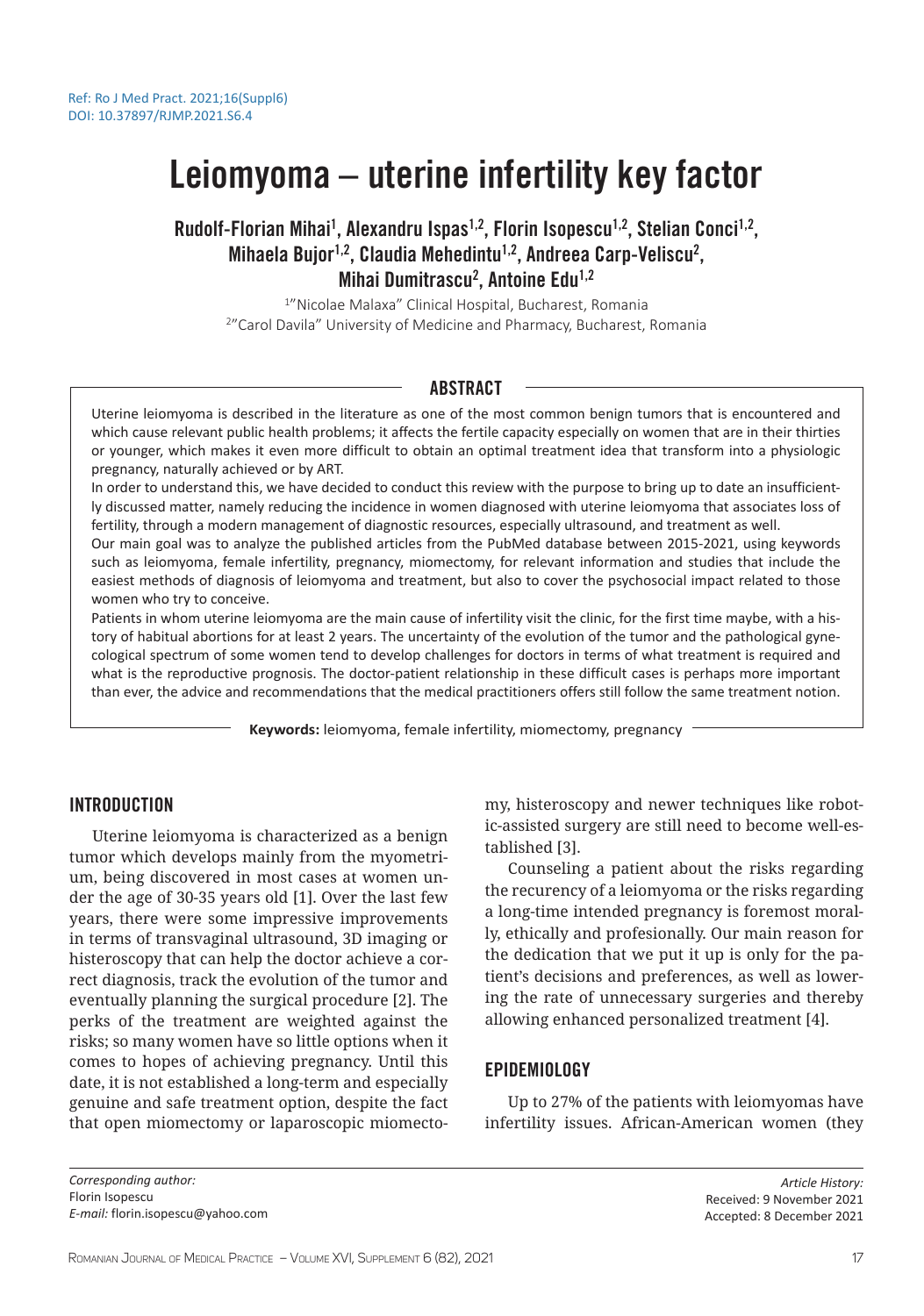# Leiomyoma – uterine infertility key factor

# Rudolf-Florian Mihai<sup>1</sup>, Alexandru Ispas<sup>1,2</sup>, Florin Isopescu<sup>1,2</sup>, Stelian Conci<sup>1,2</sup>, Mihaela Bujor<sup>1,2</sup>, Claudia Mehedintu<sup>1,2</sup>, Andreea Carp-Veliscu<sup>2</sup>, Mihai Dumitrascu<sup>2</sup>, Antoine Edu<sup>1,2</sup>

1 "Nicolae Malaxa" Clinical Hospital, Bucharest, Romania 2 "Carol Davila" University of Medicine and Pharmacy, Bucharest, Romania

# ABSTRACT

Uterine leiomyoma is described in the literature as one of the most common benign tumors that is encountered and which cause relevant public health problems; it affects the fertile capacity especially on women that are in their thirties or younger, which makes it even more difficult to obtain an optimal treatment idea that transform into a physiologic pregnancy, naturally achieved or by ART.

In order to understand this, we have decided to conduct this review with the purpose to bring up to date an insufficiently discussed matter, namely reducing the incidence in women diagnosed with uterine leiomyoma that associates loss of fertility, through a modern management of diagnostic resources, especially ultrasound, and treatment as well.

Our main goal was to analyze the published articles from the PubMed database between 2015-2021, using keywords such as leiomyoma, female infertility, pregnancy, miomectomy, for relevant information and studies that include the easiest methods of diagnosis of leiomyoma and treatment, but also to cover the psychosocial impact related to those women who try to conceive.

Patients in whom uterine leiomyoma are the main cause of infertility visit the clinic, for the first time maybe, with a history of habitual abortions for at least 2 years. The uncertainty of the evolution of the tumor and the pathological gynecological spectrum of some women tend to develop challenges for doctors in terms of what treatment is required and what is the reproductive prognosis. The doctor-patient relationship in these difficult cases is perhaps more important than ever, the advice and recommendations that the medical practitioners offers still follow the same treatment notion.

**Keywords:** leiomyoma, female infertility, miomectomy, pregnancy

# **INTRODUCTION**

Uterine leiomyoma is characterized as a benign tumor which develops mainly from the myometrium, being discovered in most cases at women under the age of 30-35 years old [1]. Over the last few years, there were some impressive improvements in terms of transvaginal ultrasound, 3D imaging or histeroscopy that can help the doctor achieve a correct diagnosis, track the evolution of the tumor and eventually planning the surgical procedure [2]. The perks of the treatment are weighted against the risks; so many women have so little options when it comes to hopes of achieving pregnancy. Until this date, it is not established a long-term and especially genuine and safe treatment option, despite the fact that open miomectomy or laparoscopic miomectomy, histeroscopy and newer techniques like robotic-assisted surgery are still need to become well-established [3].

Counseling a patient about the risks regarding the recurency of a leiomyoma or the risks regarding a long-time intended pregnancy is foremost morally, ethically and profesionally. Our main reason for the dedication that we put it up is only for the patient's decisions and preferences, as well as lowering the rate of unnecessary surgeries and thereby allowing enhanced personalized treatment [4].

## EPIDEMIOLOGY

Up to 27% of the patients with leiomyomas have infertility issues. African-American women (they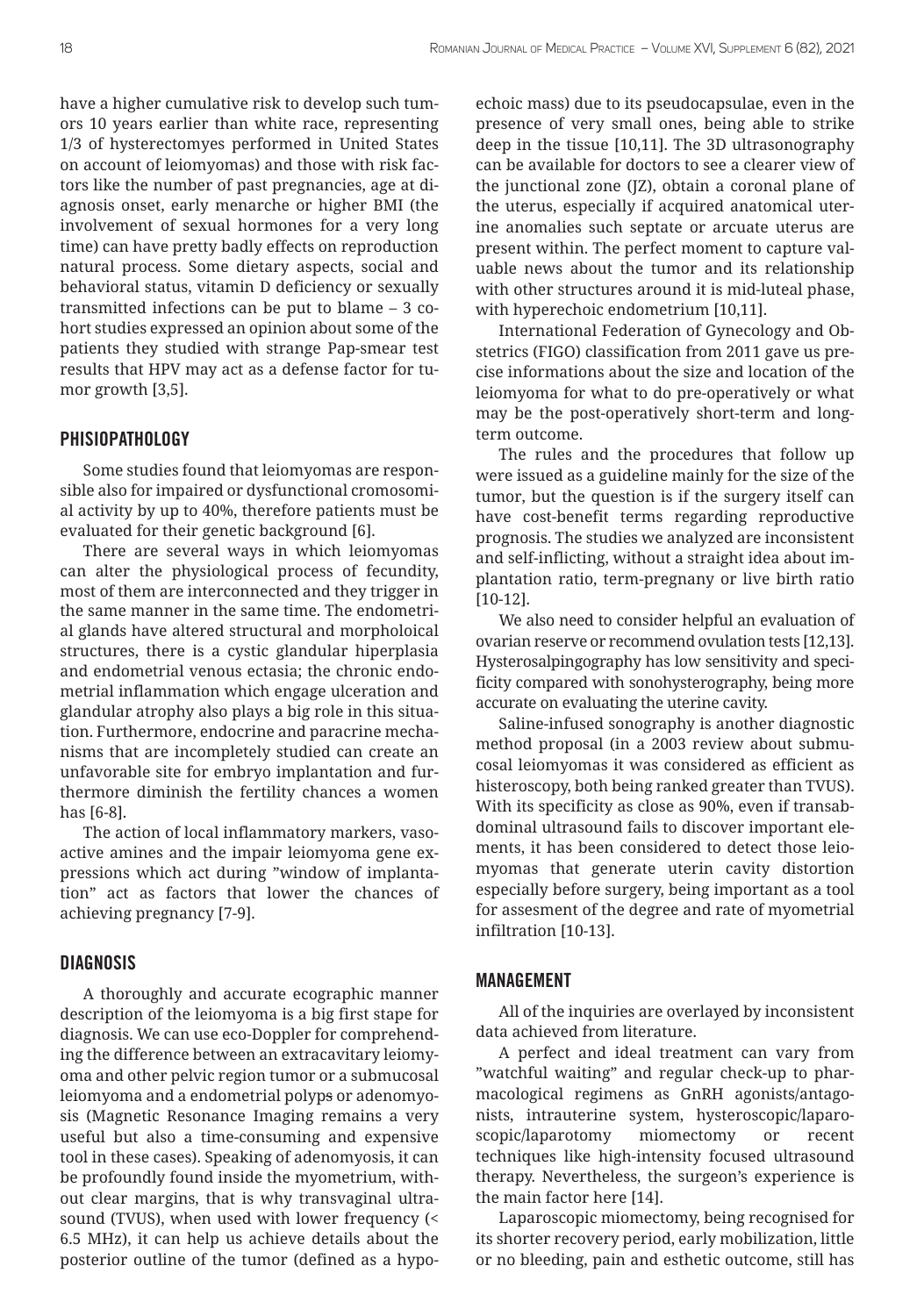have a higher cumulative risk to develop such tumors 10 years earlier than white race, representing 1/3 of hysterectomyes performed in United States on account of leiomyomas) and those with risk factors like the number of past pregnancies, age at diagnosis onset, early menarche or higher BMI (the involvement of sexual hormones for a very long time) can have pretty badly effects on reproduction natural process. Some dietary aspects, social and behavioral status, vitamin D deficiency or sexually transmitted infections can be put to blame – 3 cohort studies expressed an opinion about some of the patients they studied with strange Pap-smear test results that HPV may act as a defense factor for tumor growth [3,5].

#### **PHISIOPATHOLOGY**

Some studies found that leiomyomas are responsible also for impaired or dysfunctional cromosomial activity by up to 40%, therefore patients must be evaluated for their genetic background [6].

There are several ways in which leiomyomas can alter the physiological process of fecundity, most of them are interconnected and they trigger in the same manner in the same time. The endometrial glands have altered structural and morpholoical structures, there is a cystic glandular hiperplasia and endometrial venous ectasia; the chronic endometrial inflammation which engage ulceration and glandular atrophy also plays a big role in this situation. Furthermore, endocrine and paracrine mechanisms that are incompletely studied can create an unfavorable site for embryo implantation and furthermore diminish the fertility chances a women has [6-8].

The action of local inflammatory markers, vasoactive amines and the impair leiomyoma gene expressions which act during "window of implantation" act as factors that lower the chances of achieving pregnancy [7-9].

## **DIAGNOSIS**

A thoroughly and accurate ecographic manner description of the leiomyoma is a big first stape for diagnosis. We can use eco-Doppler for comprehending the difference between an extracavitary leiomyoma and other pelvic region tumor or a submucosal leiomyoma and a endometrial polyps or adenomyosis (Magnetic Resonance Imaging remains a very useful but also a time-consuming and expensive tool in these cases). Speaking of adenomyosis, it can be profoundly found inside the myometrium, without clear margins, that is why transvaginal ultrasound (TVUS), when used with lower frequency (< 6.5 MHz), it can help us achieve details about the posterior outline of the tumor (defined as a hypoechoic mass) due to its pseudocapsulae, even in the presence of very small ones, being able to strike deep in the tissue [10,11]. The 3D ultrasonography can be available for doctors to see a clearer view of the junctional zone (JZ), obtain a coronal plane of the uterus, especially if acquired anatomical uterine anomalies such septate or arcuate uterus are present within. The perfect moment to capture valuable news about the tumor and its relationship with other structures around it is mid-luteal phase, with hyperechoic endometrium [10,11].

International Federation of Gynecology and Obstetrics (FIGO) classification from 2011 gave us precise informations about the size and location of the leiomyoma for what to do pre-operatively or what may be the post-operatively short-term and longterm outcome.

The rules and the procedures that follow up were issued as a guideline mainly for the size of the tumor, but the question is if the surgery itself can have cost-benefit terms regarding reproductive prognosis. The studies we analyzed are inconsistent and self-inflicting, without a straight idea about implantation ratio, term-pregnany or live birth ratio [10-12].

We also need to consider helpful an evaluation of ovarian reserve or recommend ovulation tests [12,13]. Hysterosalpingography has low sensitivity and specificity compared with sonohysterography, being more accurate on evaluating the uterine cavity.

Saline-infused sonography is another diagnostic method proposal (in a 2003 review about submucosal leiomyomas it was considered as efficient as histeroscopy, both being ranked greater than TVUS). With its specificity as close as 90%, even if transabdominal ultrasound fails to discover important elements, it has been considered to detect those leiomyomas that generate uterin cavity distortion especially before surgery, being important as a tool for assesment of the degree and rate of myometrial infiltration [10-13].

#### MANAGEMENT

All of the inquiries are overlayed by inconsistent data achieved from literature.

A perfect and ideal treatment can vary from "watchful waiting" and regular check-up to pharmacological regimens as GnRH agonists/antagonists, intrauterine system, hysteroscopic/laparoscopic/laparotomy miomectomy or recent techniques like high-intensity focused ultrasound therapy. Nevertheless, the surgeon's experience is the main factor here [14].

Laparoscopic miomectomy, being recognised for its shorter recovery period, early mobilization, little or no bleeding, pain and esthetic outcome, still has